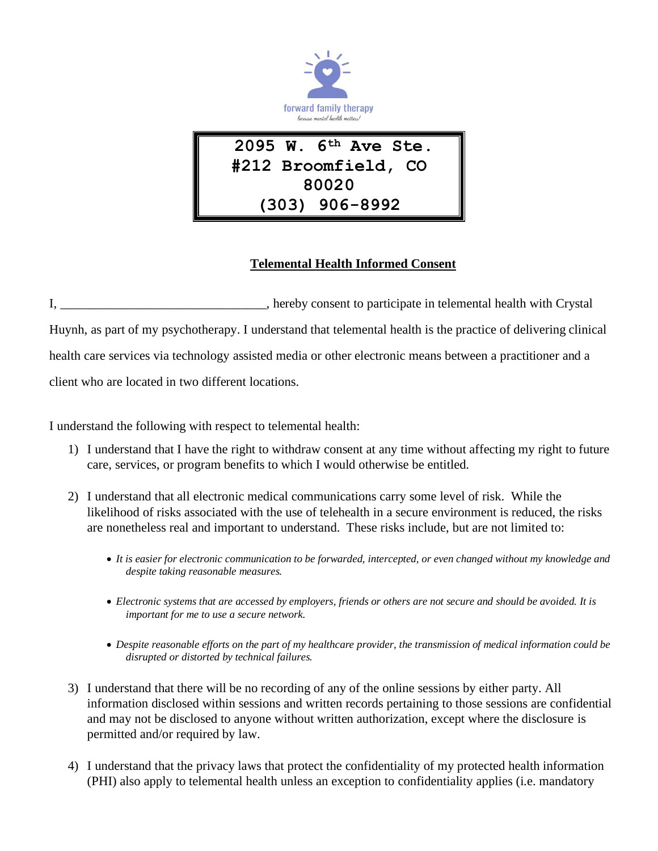

## **Telemental Health Informed Consent**

I, the edge of the participate in telemental health with Crystal in telemental health with Crystal Huynh, as part of my psychotherapy. I understand that telemental health is the practice of delivering clinical health care services via technology assisted media or other electronic means between a practitioner and a client who are located in two different locations.

I understand the following with respect to telemental health:

- 1) I understand that I have the right to withdraw consent at any time without affecting my right to future care, services, or program benefits to which I would otherwise be entitled.
- 2) I understand that all electronic medical communications carry some level of risk. While the likelihood of risks associated with the use of telehealth in a secure environment is reduced, the risks are nonetheless real and important to understand. These risks include, but are not limited to:
	- *It is easier for electronic communication to be forwarded, intercepted, or even changed without my knowledge and despite taking reasonable measures.*
	- *Electronic systems that are accessed by employers, friends or others are not secure and should be avoided. It is important for me to use a secure network.*
	- *Despite reasonable efforts on the part of my healthcare provider, the transmission of medical information could be disrupted or distorted by technical failures.*
- 3) I understand that there will be no recording of any of the online sessions by either party. All information disclosed within sessions and written records pertaining to those sessions are confidential and may not be disclosed to anyone without written authorization, except where the disclosure is permitted and/or required by law.
- 4) I understand that the privacy laws that protect the confidentiality of my protected health information (PHI) also apply to telemental health unless an exception to confidentiality applies (i.e. mandatory